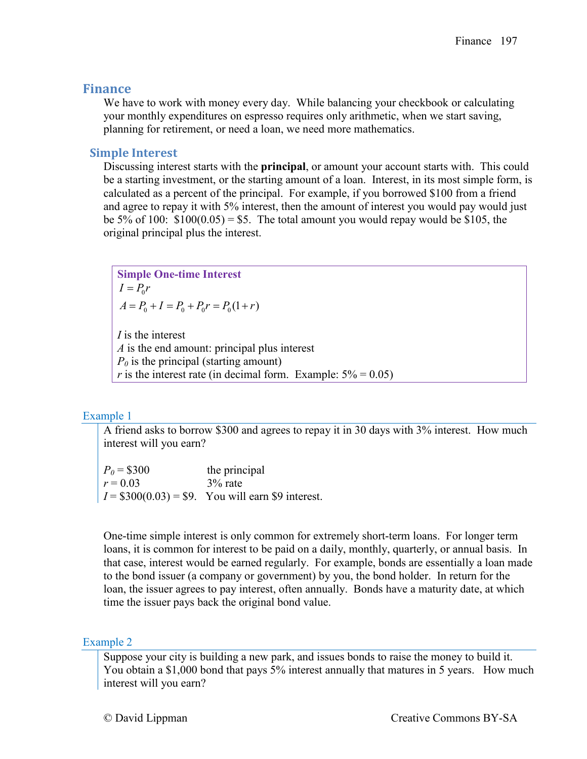# **Finance**

We have to work with money every day. While balancing your checkbook or calculating your monthly expenditures on espresso requires only arithmetic, when we start saving, planning for retirement, or need a loan, we need more mathematics.

# **Simple Interest**

Discussing interest starts with the **principal**, or amount your account starts with. This could be a starting investment, or the starting amount of a loan. Interest, in its most simple form, is calculated as a percent of the principal. For example, if you borrowed \$100 from a friend and agree to repay it with 5% interest, then the amount of interest you would pay would just be 5% of 100:  $$100(0.05) = $5$ . The total amount you would repay would be \$105, the original principal plus the interest.

**Simple One-time Interest**  $I = P_0 r$  $A = P_0 + I = P_0 + P_0 r = P_0 (1 + r)$ 

*I* is the interest *A* is the end amount: principal plus interest  $P_0$  is the principal (starting amount) *r* is the interest rate (in decimal form. Example:  $5\% = 0.05$ )

## Example 1

A friend asks to borrow \$300 and agrees to repay it in 30 days with 3% interest. How much interest will you earn?

 $P_0 = $300$  the principal  $r = 0.03$  3% rate  $I = $300(0.03) = $9$ . You will earn \$9 interest.

One-time simple interest is only common for extremely short-term loans. For longer term loans, it is common for interest to be paid on a daily, monthly, quarterly, or annual basis. In that case, interest would be earned regularly. For example, bonds are essentially a loan made to the bond issuer (a company or government) by you, the bond holder. In return for the loan, the issuer agrees to pay interest, often annually. Bonds have a maturity date, at which time the issuer pays back the original bond value.

## Example 2

Suppose your city is building a new park, and issues bonds to raise the money to build it. You obtain a \$1,000 bond that pays 5% interest annually that matures in 5 years. How much interest will you earn?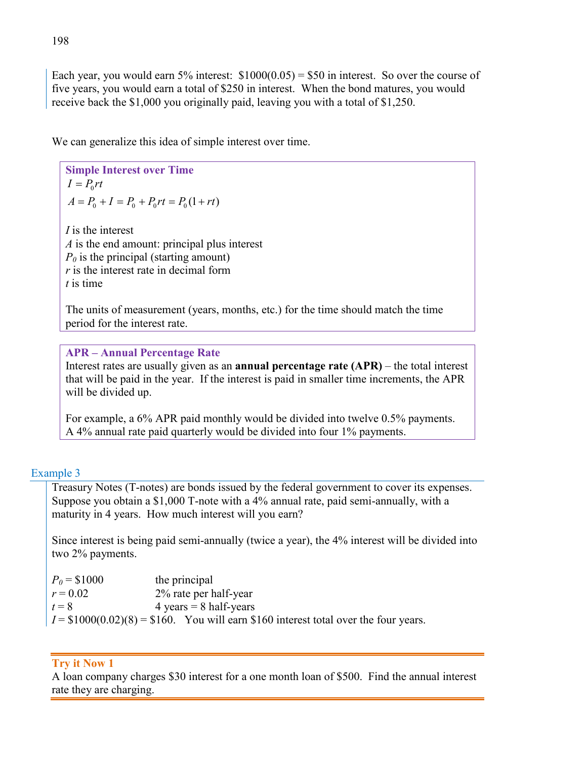Each year, you would earn  $5\%$  interest:  $$1000(0.05) = $50$  in interest. So over the course of five years, you would earn a total of \$250 in interest. When the bond matures, you would receive back the \$1,000 you originally paid, leaving you with a total of \$1,250.

We can generalize this idea of simple interest over time.

**Simple Interest over Time**  $I = P_0 rt$  $A = P_0 + I = P_0 + P_0 rt = P_0 (1 + rt)$ 

*I* is the interest *A* is the end amount: principal plus interest  $P_0$  is the principal (starting amount) *r* is the interest rate in decimal form *t* is time

The units of measurement (years, months, etc.) for the time should match the time period for the interest rate.

**APR – Annual Percentage Rate** Interest rates are usually given as an **annual percentage rate (APR)** – the total interest that will be paid in the year. If the interest is paid in smaller time increments, the APR will be divided up.

For example, a 6% APR paid monthly would be divided into twelve 0.5% payments. A 4% annual rate paid quarterly would be divided into four 1% payments.

## Example 3

Treasury Notes (T-notes) are bonds issued by the federal government to cover its expenses. Suppose you obtain a \$1,000 T-note with a 4% annual rate, paid semi-annually, with a maturity in 4 years. How much interest will you earn?

Since interest is being paid semi-annually (twice a year), the 4% interest will be divided into two 2% payments.

| $P_0 = $1000$ | the principal                                                                         |
|---------------|---------------------------------------------------------------------------------------|
| $r = 0.02$    | 2% rate per half-year                                                                 |
| $t = 8$       | $4 \text{ years} = 8 \text{ half-years}$                                              |
|               | $I = $1000(0.02)(8) = $160$ . You will earn \$160 interest total over the four years. |

# **Try it Now 1**

A loan company charges \$30 interest for a one month loan of \$500. Find the annual interest rate they are charging.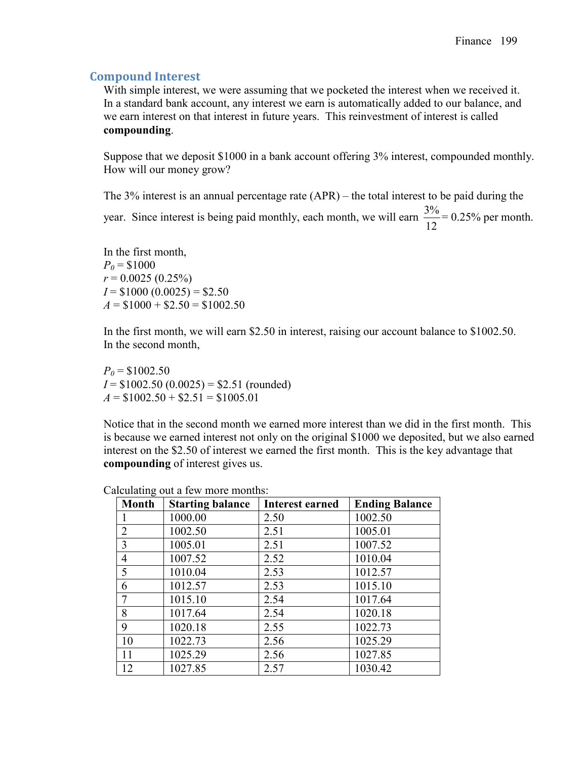## **Compound Interest**

With simple interest, we were assuming that we pocketed the interest when we received it. In a standard bank account, any interest we earn is automatically added to our balance, and we earn interest on that interest in future years. This reinvestment of interest is called **compounding**.

Suppose that we deposit \$1000 in a bank account offering 3% interest, compounded monthly. How will our money grow?

The 3% interest is an annual percentage rate (APR) – the total interest to be paid during the year. Since interest is being paid monthly, each month, we will earn  $\frac{3\%}{12} = 0.25\%$  per month.

In the first month,  $P_0 = $1000$  $r = 0.0025(0.25\%)$  $I = $1000 (0.0025) = $2.50$  $A = $1000 + $2.50 = $1002.50$ 

In the first month, we will earn \$2.50 in interest, raising our account balance to \$1002.50. In the second month,

 $P_0 = $1002.50$  $I = $1002.50 (0.0025) = $2.51 (rounded)$  $A = $1002.50 + $2.51 = $1005.01$ 

Notice that in the second month we earned more interest than we did in the first month. This is because we earned interest not only on the original \$1000 we deposited, but we also earned interest on the \$2.50 of interest we earned the first month. This is the key advantage that **compounding** of interest gives us.

| <b>Month</b>   | <b>Starting balance</b> | <b>Interest earned</b> | <b>Ending Balance</b> |
|----------------|-------------------------|------------------------|-----------------------|
|                | 1000.00                 | 2.50                   | 1002.50               |
| $\overline{2}$ | 1002.50                 | 2.51                   | 1005.01               |
| 3              | 1005.01                 | 2.51                   | 1007.52               |
| $\overline{4}$ | 1007.52                 | 2.52                   | 1010.04               |
| 5              | 1010.04                 | 2.53                   | 1012.57               |
| 6              | 1012.57                 | 2.53                   | 1015.10               |
| $\overline{7}$ | 1015.10                 | 2.54                   | 1017.64               |
| 8              | 1017.64                 | 2.54                   | 1020.18               |
| 9              | 1020.18                 | 2.55                   | 1022.73               |
| 10             | 1022.73                 | 2.56                   | 1025.29               |
| 11             | 1025.29                 | 2.56                   | 1027.85               |
| 12             | 1027.85                 | 2.57                   | 1030.42               |

Calculating out a few more months: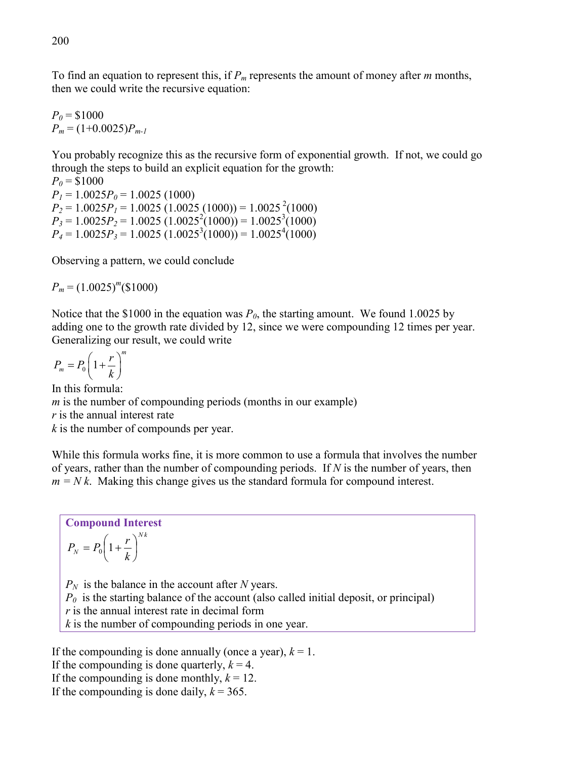To find an equation to represent this, if *Pm* represents the amount of money after *m* months, then we could write the recursive equation:

 $P_0 = $1000$  $P_m = (1+0.0025)P_{m-1}$ 

You probably recognize this as the recursive form of exponential growth. If not, we could go through the steps to build an explicit equation for the growth:

 $P_0 = $1000$  $P_1 = 1.0025 P_0 = 1.0025 (1000)$  $P_2 = 1.0025 P_1 = 1.0025 (1.0025 (1000)) = 1.0025^{2}(1000)$  $P_3 = 1.0025 P_2 = 1.0025 (1.0025^2(1000)) = 1.0025^3(1000)$  $P_4 = 1.0025 P_3 = 1.0025 (1.0025^3(1000)) = 1.0025^4(1000)$ 

Observing a pattern, we could conclude

 $P_m = (1.0025)^m (\text{$}1000)$ 

Notice that the \$1000 in the equation was  $P_0$ , the starting amount. We found 1.0025 by adding one to the growth rate divided by 12, since we were compounding 12 times per year. Generalizing our result, we could write

$$
P_m = P_0 \left(1 + \frac{r}{k}\right)^m
$$

In this formula:

*m* is the number of compounding periods (months in our example)

*r* is the annual interest rate

*k* is the number of compounds per year.

While this formula works fine, it is more common to use a formula that involves the number of years, rather than the number of compounding periods. If *N* is the number of years, then  $m = Nk$ . Making this change gives us the standard formula for compound interest.

**Compound Interest** *N k*  $N - k_0$ <sup>1</sup>  $k$  $P_{N} = P_{0} \left( 1 + \frac{r}{l} \right)$ J  $\left(1+\frac{r}{l}\right)$ L  $= P_0 \left( 1 + \right.$  $P_N$  is the balance in the account after *N* years.

 $P_0$  is the starting balance of the account (also called initial deposit, or principal)

*r* is the annual interest rate in decimal form

*k* is the number of compounding periods in one year.

If the compounding is done annually (once a year),  $k = 1$ . If the compounding is done quarterly,  $k = 4$ . If the compounding is done monthly,  $k = 12$ . If the compounding is done daily,  $k = 365$ .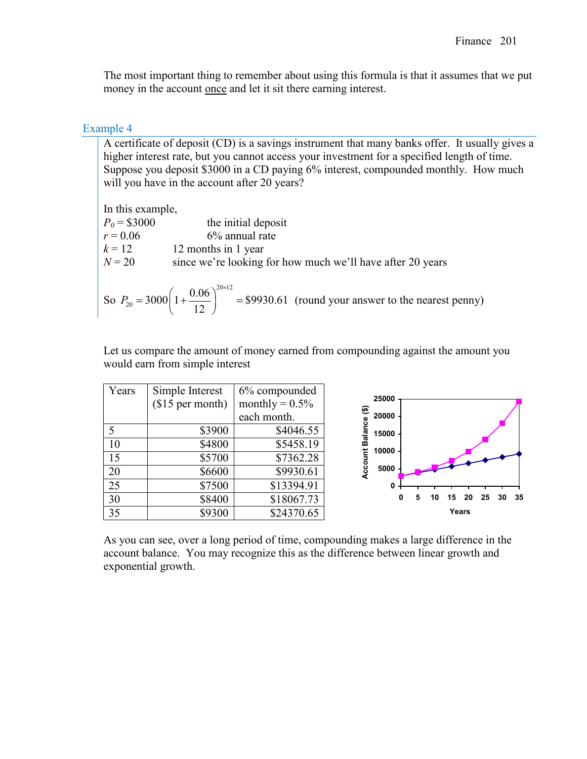The most important thing to remember about using this formula is that it assumes that we put money in the account <u>once</u> and let it sit there earning interest.

### Example 4

A certificate of deposit (CD) is a savings instrument that many banks offer. It usually gives a higher interest rate, but you cannot access your investment for a specified length of time. Suppose you deposit \$3000 in a CD paying 6% interest, compounded monthly. How much will you have in the account after 20 years?

In this example,  $P_0 = $3000$  the initial deposit  $r = 0.06$  6% annual rate  $k = 12$  12 months in 1 year  $N = 20$  since we're looking for how much we'll have after 20 years So 20×12  $P_{20} = 3000 \left( 1 + \frac{0.06}{12} \right)^{20 \times 12} = $9930.61$ 12 *P*  $= 3000 \left( 1 + \frac{0.06}{12} \right)^{20 \times 12} = $9930.61$  (round your answer to the nearest penny)

Let us compare the amount of money earned from compounding against the amount you would earn from simple interest

| Years | Simple Interest  | 6% compounded     |                                                         |
|-------|------------------|-------------------|---------------------------------------------------------|
|       | $$15$ per month) | monthly = $0.5\%$ | 25000                                                   |
|       |                  | each month.       | ⊕<br>20000                                              |
|       | \$3900           | \$4046.55         | <b>Account Balance</b><br>15000                         |
| 10    | \$4800           | \$5458.19         | 10000                                                   |
| 15    | \$5700           | \$7362.28         |                                                         |
| 20    | \$6600           | \$9930.61         | 5000                                                    |
| 25    | \$7500           | \$13394.91        | 0                                                       |
| 30    | \$8400           | \$18067.73        | -35<br>25<br>$\mathbf{0}$<br>15<br>20<br>30<br>5.<br>10 |
| 35    | \$9300           | \$24370.65        | Years                                                   |

As you can see, over a long period of time, compounding makes a large difference in the account balance. You may recognize this as the difference between linear growth and exponential growth.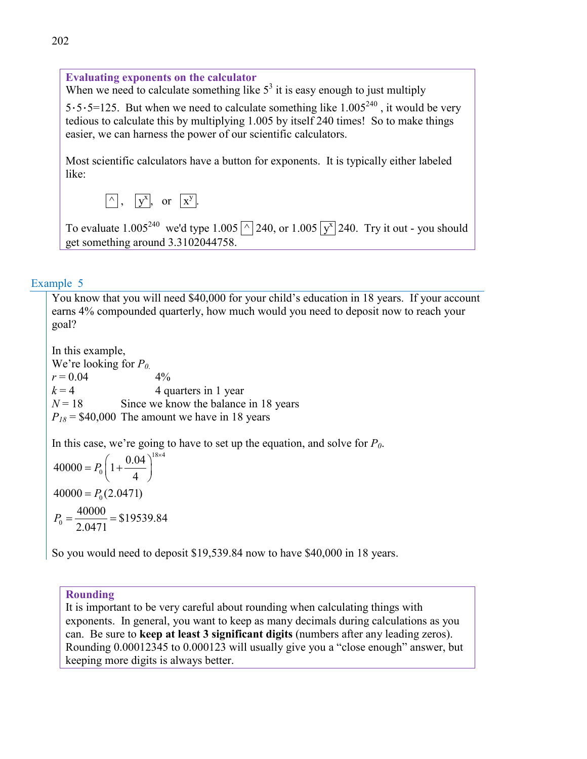**Evaluating exponents on the calculator** When we need to calculate something like  $5<sup>3</sup>$  it is easy enough to just multiply  $5.5.5=125$ . But when we need to calculate something like  $1.005<sup>240</sup>$ , it would be very tedious to calculate this by multiplying 1.005 by itself 240 times! So to make things easier, we can harness the power of our scientific calculators. Most scientific calculators have a button for exponents. It is typically either labeled like:  $\boxed{\wedge}$ ,  $\boxed{y^x}$ , or  $\boxed{x^y}$ .

To evaluate 1.005<sup>240</sup> we'd type 1.005  $\boxed{\wedge}$  240, or 1.005  $\boxed{y^x}$  240. Try it out - you should get something around 3.3102044758.

## Example 5

You know that you will need \$40,000 for your child's education in 18 years. If your account earns 4% compounded quarterly, how much would you need to deposit now to reach your goal?

In this example, We're looking for  $P_0$ .  $r = 0.04$  4%  $k = 4$  4 quarters in 1 year  $N = 18$  Since we know the balance in 18 years  $P_{18}$  = \$40,000 The amount we have in 18 years

In this case, we're going to have to set up the equation, and solve for  $P_0$ .

$$
40000 = P_0 \left( 1 + \frac{0.04}{4} \right)^{18 \times 4}
$$

$$
40000 = P_0 (2.0471)
$$

$$
P_0 = \frac{40000}{2.0471} = $19539.84
$$

So you would need to deposit \$19,539.84 now to have \$40,000 in 18 years.

### **Rounding**

It is important to be very careful about rounding when calculating things with exponents. In general, you want to keep as many decimals during calculations as you can. Be sure to **keep at least 3 significant digits** (numbers after any leading zeros). Rounding 0.00012345 to 0.000123 will usually give you a "close enough" answer, but keeping more digits is always better.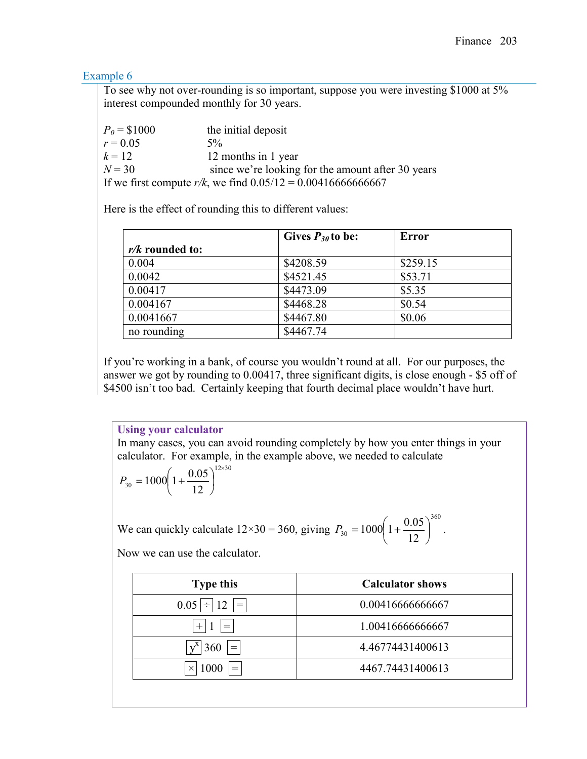## Example 6

To see why not over-rounding is so important, suppose you were investing \$1000 at 5% interest compounded monthly for 30 years.

| $P_0 = $1000$ | the initial deposit                                               |
|---------------|-------------------------------------------------------------------|
| $r = 0.05$    | $5\%$                                                             |
| $k = 12$      | 12 months in 1 year                                               |
| $N = 30$      | since we're looking for the amount after 30 years                 |
|               | If we first compute $r/k$ , we find $0.05/12 = 0.004166666666667$ |

Here is the effect of rounding this to different values:

|                   | Gives $P_{30}$ to be: | <b>Error</b> |
|-------------------|-----------------------|--------------|
| $r/k$ rounded to: |                       |              |
| 0.004             | \$4208.59             | \$259.15     |
| 0.0042            | \$4521.45             | \$53.71      |
| 0.00417           | \$4473.09             | \$5.35       |
| 0.004167          | \$4468.28             | \$0.54       |
| 0.0041667         | \$4467.80             | \$0.06       |
| no rounding       | \$4467.74             |              |

If you're working in a bank, of course you wouldn't round at all. For our purposes, the answer we got by rounding to 0.00417, three significant digits, is close enough - \$5 off of \$4500 isn't too bad. Certainly keeping that fourth decimal place wouldn't have hurt.

**Using your calculator** In many cases, you can avoid rounding completely by how you enter things in your calculator. For example, in the example above, we needed to calculate

$$
P_{30} = 1000 \left( 1 + \frac{0.05}{12} \right)^{12 \times 30}
$$

We can quickly calculate  $12 \times 30 = 360$ , giving 360  $30 - 1000$   $1 + 12$  $1000\left(1+\frac{0.05}{12}\right)$ J  $\left(1+\frac{0.05}{12}\right)$  $\setminus$  $P_{30} = 1000 \left( 1 + \frac{0.05}{100} \right)^{300}$ .

Now we can use the calculator.

| <b>Type this</b>                       | <b>Calculator shows</b> |
|----------------------------------------|-------------------------|
| $0.05 \div 12 =$                       | 0.00416666666667        |
| $^{+}$<br>$=$                          | 1.00416666666667        |
| 360<br>$=$                             | 4.46774431400613        |
| 1000<br>$=$ $\overline{ }$<br>$\times$ | 4467.74431400613        |
|                                        |                         |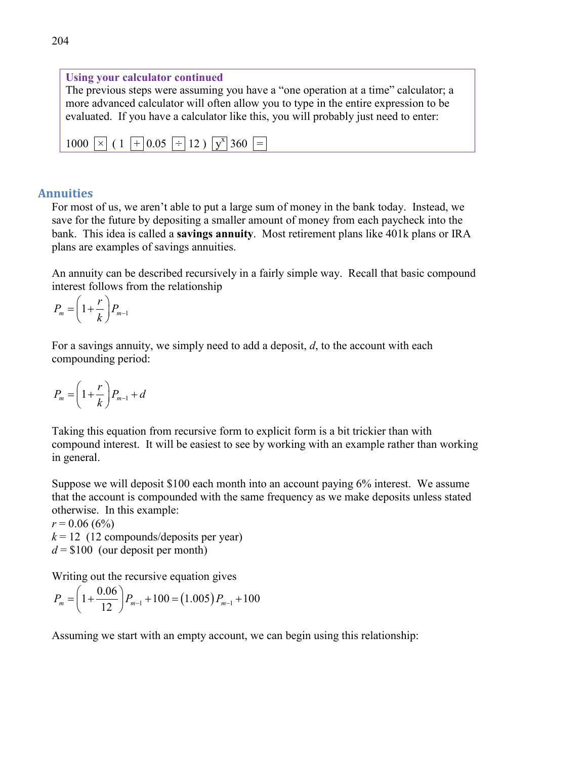# **Using your calculator continued**

The previous steps were assuming you have a "one operation at a time" calculator; a more advanced calculator will often allow you to type in the entire expression to be evaluated. If you have a calculator like this, you will probably just need to enter:

| $1000 \times (1 \div 0.05 \div 12) \times 360 =$ |
|--------------------------------------------------|
|--------------------------------------------------|

### **Annuities**

For most of us, we aren't able to put a large sum of money in the bank today. Instead, we save for the future by depositing a smaller amount of money from each paycheck into the bank. This idea is called a **savings annuity**. Most retirement plans like 401k plans or IRA plans are examples of savings annuities.

An annuity can be described recursively in a fairly simple way. Recall that basic compound interest follows from the relationship

$$
P_m = \left(1 + \frac{r}{k}\right) P_{m-1}
$$

For a savings annuity, we simply need to add a deposit, *d*, to the account with each compounding period:

$$
P_m = \left(1 + \frac{r}{k}\right) P_{m-1} + d
$$

Taking this equation from recursive form to explicit form is a bit trickier than with compound interest. It will be easiest to see by working with an example rather than working in general.

Suppose we will deposit \$100 each month into an account paying 6% interest. We assume that the account is compounded with the same frequency as we make deposits unless stated otherwise. In this example:

 $r = 0.06(6\%)$ 

 $k = 12$  (12 compounds/deposits per year)  $d = $100$  (our deposit per month)

Writing out the recursive equation gives

$$
P_m = \left(1 + \frac{0.06}{12}\right) P_{m-1} + 100 = (1.005) P_{m-1} + 100
$$

Assuming we start with an empty account, we can begin using this relationship: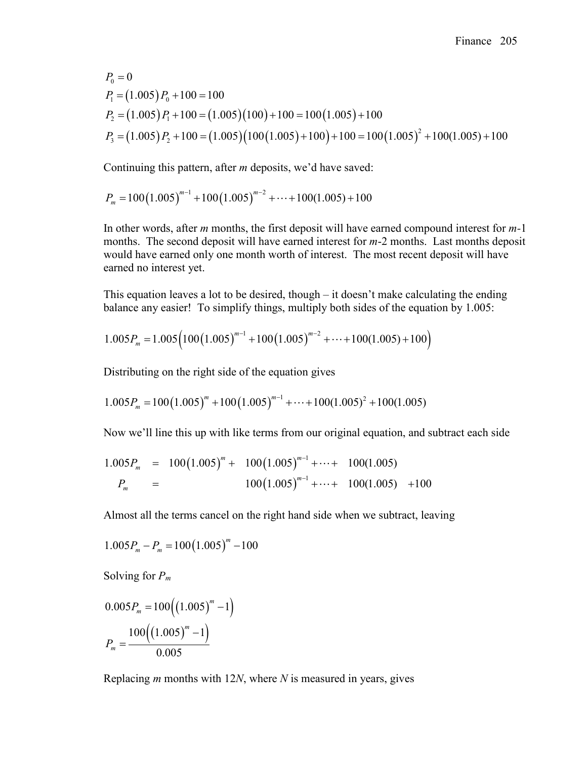$P_1 = (1.005) P_0 + 100 = 100$  $P_2 = (1.005) P_1 + 100 = (1.005)(100) + 100 = 100(1.005) + 100$  $(1.005)P_2 + 100 = (1.005)(100(1.005) + 100) + 100 = 100(1.005)^2$  $P_{0} = 0$  $P_3 = (1.005) P_2 + 100 = (1.005) (100(1.005) + 100) + 100 = 100 (1.005)^2 + 100(1.005) + 100$ 

Continuing this pattern, after *m* deposits, we'd have saved:

$$
P_m = 100(1.005)^{m-1} + 100(1.005)^{m-2} + \dots + 100(1.005) + 100
$$

In other words, after *m* months, the first deposit will have earned compound interest for *m-*1 months. The second deposit will have earned interest for *m*-2 months. Last months deposit would have earned only one month worth of interest. The most recent deposit will have earned no interest yet.

This equation leaves a lot to be desired, though – it doesn't make calculating the ending balance any easier! To simplify things, multiply both sides of the equation by 1.005:

$$
1.005P_m = 1.005 \left( 100 \left( 1.005 \right)^{m-1} + 100 \left( 1.005 \right)^{m-2} + \dots + 100 \left( 1.005 \right) + 100 \right)
$$

Distributing on the right side of the equation gives

$$
1.005P_m = 100(1.005)^m + 100(1.005)^{m-1} + \dots + 100(1.005)^2 + 100(1.005)
$$

Now we'll line this up with like terms from our original equation, and subtract each side

$$
1.005P_m = 100(1.005)^m + 100(1.005)^{m-1} + \cdots + 100(1.005)
$$
  

$$
P_m = 100(1.005)^{m-1} + \cdots + 100(1.005) + 100
$$

Almost all the terms cancel on the right hand side when we subtract, leaving

$$
1.005P_m - P_m = 100(1.005)^m - 100
$$

Solving for *Pm*

$$
0.005 P_m = 100 ((1.005)^m - 1)
$$

$$
P_m = \frac{100 ((1.005)^m - 1)}{0.005}
$$

Replacing *m* months with 12*N*, where *N* is measured in years, gives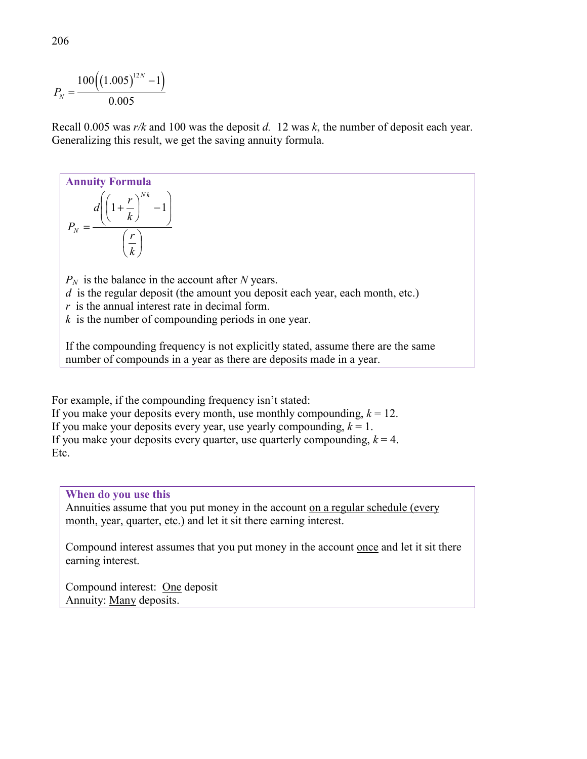$$
P_{N} = \frac{100((1.005)^{12N} - 1)}{0.005}
$$

Recall 0.005 was *r/k* and 100 was the deposit *d.* 12 was *k*, the number of deposit each year. Generalizing this result, we get the saving annuity formula.

#### **Annuity Formula**  $\overline{\phantom{a}}$ J  $\left(\frac{r}{1}\right)$  $\setminus$ ſ  $\overline{\phantom{a}}$  $\overline{\phantom{a}}$  $\bigg)$  $\backslash$  $\mathsf{I}$  $\mathsf{I}$  $\left(\left(1+\frac{r}{k}\right)^{Nk}-\right)$  $\setminus$  $\Bigg(1+$ = *k r k*  $d\left(1+\frac{r}{r}\right)$ *P N k N*  $1 + \frac{1}{1}$  -1  $P_N$  is the balance in the account after *N* years.

*d* is the regular deposit (the amount you deposit each year, each month, etc.) *r* is the annual interest rate in decimal form. *k* is the number of compounding periods in one year.

If the compounding frequency is not explicitly stated, assume there are the same number of compounds in a year as there are deposits made in a year.

For example, if the compounding frequency isn't stated: If you make your deposits every month, use monthly compounding,  $k = 12$ . If you make your deposits every year, use yearly compounding,  $k = 1$ . If you make your deposits every quarter, use quarterly compounding,  $k = 4$ . Etc.

### **When do you use this**

Annuities assume that you put money in the account on a regular schedule (every month, year, quarter, etc.) and let it sit there earning interest.

Compound interest assumes that you put money in the account once and let it sit there earning interest.

Compound interest: One deposit Annuity: Many deposits.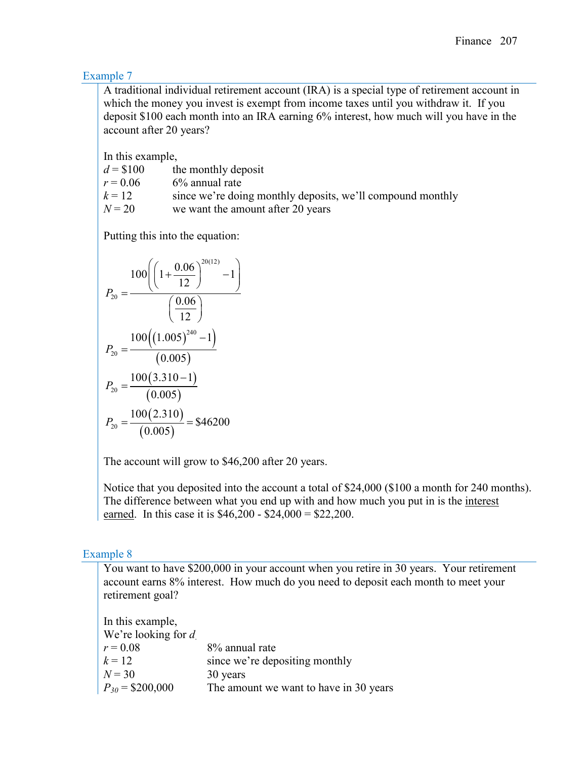## Example 7

A traditional individual retirement account (IRA) is a special type of retirement account in which the money you invest is exempt from income taxes until you withdraw it. If you deposit \$100 each month into an IRA earning 6% interest, how much will you have in the account after 20 years?

In this example,

| $d = $100$ | the monthly deposit                                        |
|------------|------------------------------------------------------------|
| $r = 0.06$ | $6\%$ annual rate                                          |
| $k=12$     | since we're doing monthly deposits, we'll compound monthly |
| $N = 20$   | we want the amount after 20 years                          |

Putting this into the equation:

$$
P_{20} = \frac{100\left(\left(1 + \frac{0.06}{12}\right)^{20(12)} - 1\right)}{\left(\frac{0.06}{12}\right)}
$$

$$
P_{20} = \frac{100\left(\left(1.005\right)^{240} - 1\right)}{\left(0.005\right)}
$$

$$
P_{20} = \frac{100(3.310 - 1)}{\left(0.005\right)}
$$

$$
P_{20} = \frac{100(2.310)}{\left(0.005\right)} = $46200
$$

The account will grow to \$46,200 after 20 years.

Notice that you deposited into the account a total of \$24,000 (\$100 a month for 240 months). The difference between what you end up with and how much you put in is the interest earned. In this case it is \$46,200 - \$24,000 = \$22,200.

## Example 8

You want to have \$200,000 in your account when you retire in 30 years. Your retirement account earns 8% interest. How much do you need to deposit each month to meet your retirement goal?

| In this example,        |                                        |
|-------------------------|----------------------------------------|
| We're looking for $d_1$ |                                        |
| $r = 0.08$              | 8% annual rate                         |
| $k = 12$                | since we're depositing monthly         |
| $N = 30$                | 30 years                               |
| $P_{30}$ = \$200,000    | The amount we want to have in 30 years |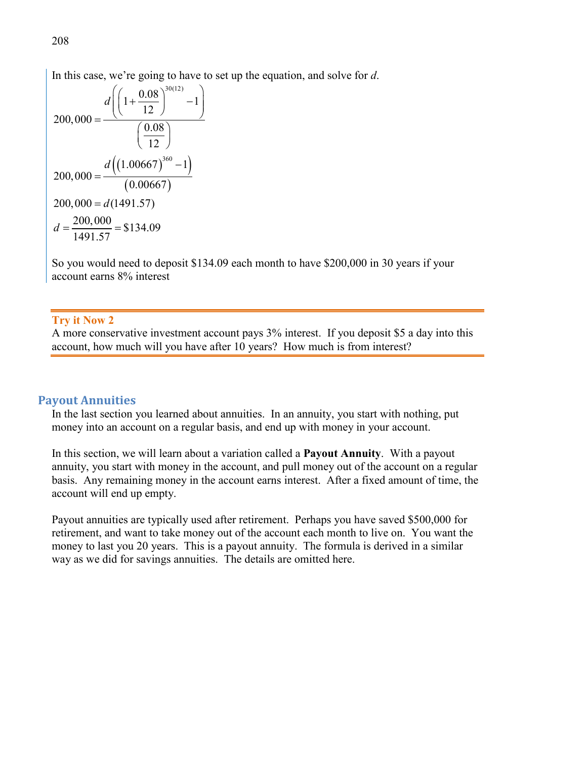In this case, we're going to have to set up the equation, and solve for *d*.

$$
200,000 = \frac{d\left(\left(1 + \frac{0.08}{12}\right)^{30(12)} - 1\right)}{\left(\frac{0.08}{12}\right)}
$$

$$
200,000 = \frac{d\left(\left(1.00667\right)^{360} - 1\right)}{\left(0.00667\right)}
$$

$$
200,000 = d(1491.57)
$$

$$
d = \frac{200,000}{1491.57} = $134.09
$$

So you would need to deposit \$134.09 each month to have \$200,000 in 30 years if your account earns 8% interest

#### **Try it Now 2**

A more conservative investment account pays 3% interest. If you deposit \$5 a day into this account, how much will you have after 10 years? How much is from interest?

#### **Payout Annuities**

In the last section you learned about annuities. In an annuity, you start with nothing, put money into an account on a regular basis, and end up with money in your account.

In this section, we will learn about a variation called a **Payout Annuity**. With a payout annuity, you start with money in the account, and pull money out of the account on a regular basis. Any remaining money in the account earns interest. After a fixed amount of time, the account will end up empty.

Payout annuities are typically used after retirement. Perhaps you have saved \$500,000 for retirement, and want to take money out of the account each month to live on. You want the money to last you 20 years. This is a payout annuity. The formula is derived in a similar way as we did for savings annuities. The details are omitted here.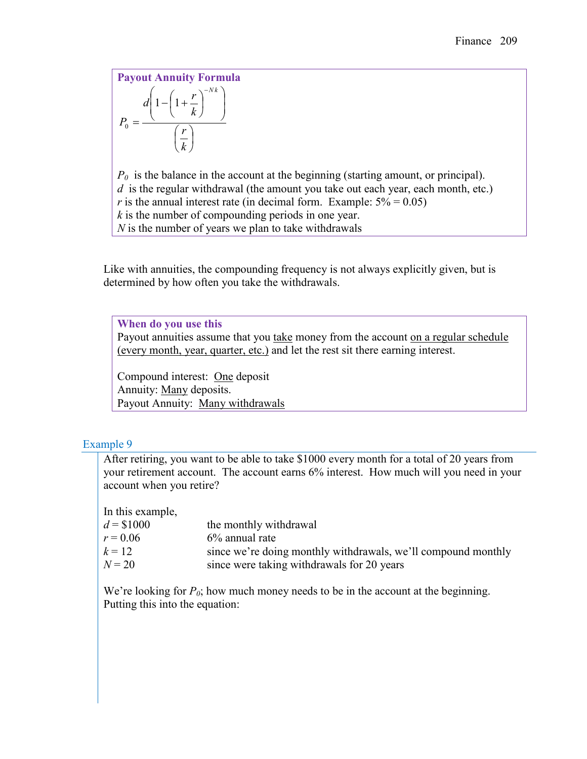**Payout Annuity Formula**  $\overline{\phantom{a}}$ J  $\left(\frac{r}{t}\right)$  $\setminus$ ſ  $\overline{\phantom{a}}$  $\overline{\phantom{a}}$ J  $\backslash$ I  $\mathsf{I}$  $\setminus$  $\left(1-\left(1+\frac{r}{l}\right)\right)$ J  $\left(1+\frac{r}{l}\right)$ J  $- \bigg( 1 +$ = − *k r k*  $d\left(1-\left(1+\frac{r}{l}\right)\right)$ *P N k*  $1 - 1$ 0

*P0* is the balance in the account at the beginning (starting amount, or principal). *d* is the regular withdrawal (the amount you take out each year, each month, etc.) *r* is the annual interest rate (in decimal form. Example:  $5\% = 0.05$ ) *k* is the number of compounding periods in one year. *N* is the number of years we plan to take withdrawals

Like with annuities, the compounding frequency is not always explicitly given, but is determined by how often you take the withdrawals.

**When do you use this** Payout annuities assume that you take money from the account on a regular schedule (every month, year, quarter, etc.) and let the rest sit there earning interest.

Compound interest: One deposit Annuity: Many deposits. Payout Annuity: Many withdrawals

# Example 9

After retiring, you want to be able to take \$1000 every month for a total of 20 years from your retirement account. The account earns 6% interest. How much will you need in your account when you retire?

In this example,

| $d = $1000$ | the monthly withdrawal                                        |
|-------------|---------------------------------------------------------------|
| $r = 0.06$  | $6\%$ annual rate                                             |
| $k = 12$    | since we're doing monthly withdrawals, we'll compound monthly |
| $N = 20$    | since were taking withdrawals for 20 years                    |

We're looking for  $P_0$ ; how much money needs to be in the account at the beginning. Putting this into the equation: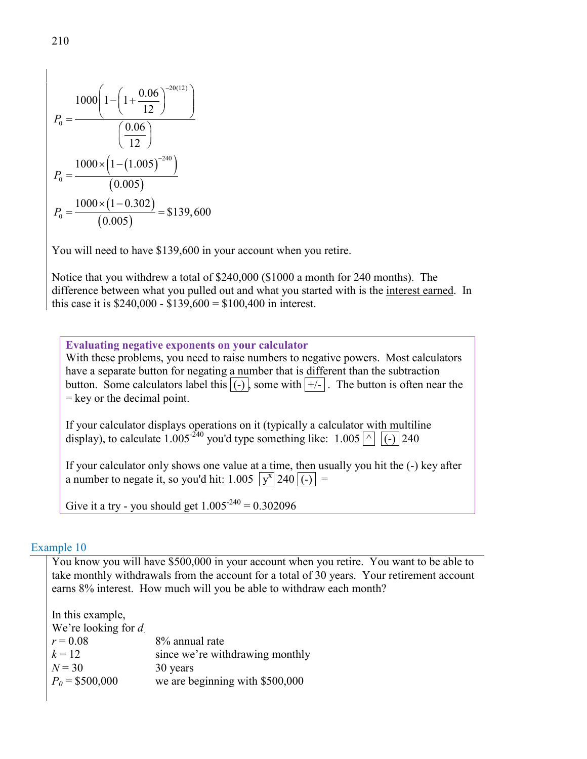$$
P_0 = \frac{1000\left(1 - \left(1 + \frac{0.06}{12}\right)^{-20(12)}\right)}{\left(\frac{0.06}{12}\right)}
$$

$$
P_0 = \frac{1000 \times \left(1 - (1.005)^{-240}\right)}{(0.005)}
$$

$$
P_0 = \frac{1000 \times (1 - 0.302)}{(0.005)} = $139,600
$$

You will need to have \$139,600 in your account when you retire.

Notice that you withdrew a total of \$240,000 (\$1000 a month for 240 months). The difference between what you pulled out and what you started with is the interest earned. In this case it is \$240,000 - \$139,600 = \$100,400 in interest.

**Evaluating negative exponents on your calculator** With these problems, you need to raise numbers to negative powers. Most calculators have a separate button for negating a number that is different than the subtraction button. Some calculators label this  $\overline{(-)}$ , some with  $\overline{(+)}$ . The button is often near the  $=$  key or the decimal point. If your calculator displays operations on it (typically a calculator with multiline display), to calculate 1.005<sup>-240</sup> you'd type something like: 1.005  $\boxed{\wedge}$   $\boxed{(-)}$  240 If your calculator only shows one value at a time, then usually you hit the (-) key after a number to negate it, so you'd hit:  $1.005 |y^x|240|(-)| =$ 

Give it a try - you should get  $1.005^{240} = 0.302096$ 

#### Example 10

You know you will have \$500,000 in your account when you retire. You want to be able to take monthly withdrawals from the account for a total of 30 years. Your retirement account earns 8% interest. How much will you be able to withdraw each month?

| 8% annual rate                  |
|---------------------------------|
| since we're withdrawing monthly |
| 30 years                        |
| we are beginning with \$500,000 |
|                                 |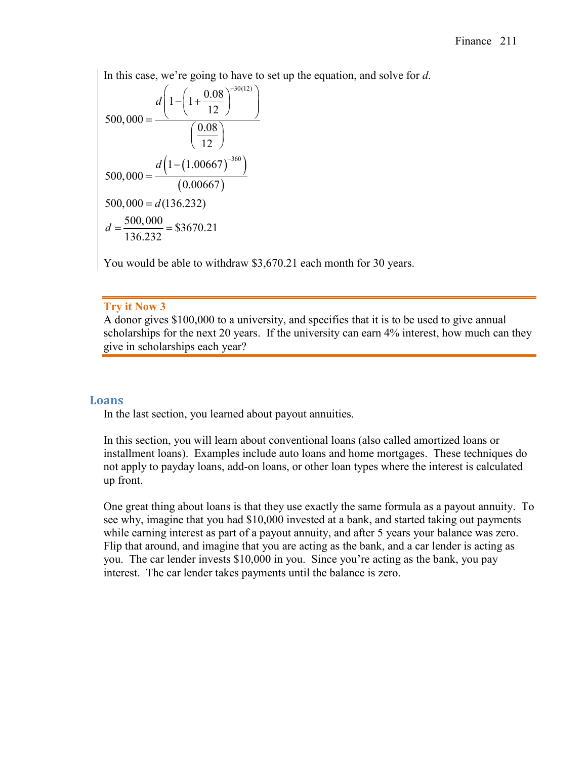In this case, we're going to have to set up the equation, and solve for *d*.

$$
500,000 = \frac{d\left(1 - \left(1 + \frac{0.08}{12}\right)^{-30(12)}\right)}{\left(\frac{0.08}{12}\right)}
$$

$$
500,000 = \frac{d\left(1 - (1.00667)^{-360}\right)}{(0.00667)}
$$

$$
500,000 = d(136.232)
$$

$$
d = \frac{500,000}{136.232} = $3670.21
$$

You would be able to withdraw \$3,670.21 each month for 30 years.

### **Try it Now 3**

A donor gives \$100,000 to a university, and specifies that it is to be used to give annual scholarships for the next 20 years. If the university can earn 4% interest, how much can they give in scholarships each year?

### **Loans**

In the last section, you learned about payout annuities.

In this section, you will learn about conventional loans (also called amortized loans or installment loans). Examples include auto loans and home mortgages. These techniques do not apply to payday loans, add-on loans, or other loan types where the interest is calculated up front.

One great thing about loans is that they use exactly the same formula as a payout annuity. To see why, imagine that you had \$10,000 invested at a bank, and started taking out payments while earning interest as part of a payout annuity, and after 5 years your balance was zero. Flip that around, and imagine that you are acting as the bank, and a car lender is acting as you. The car lender invests \$10,000 in you. Since you're acting as the bank, you pay interest. The car lender takes payments until the balance is zero.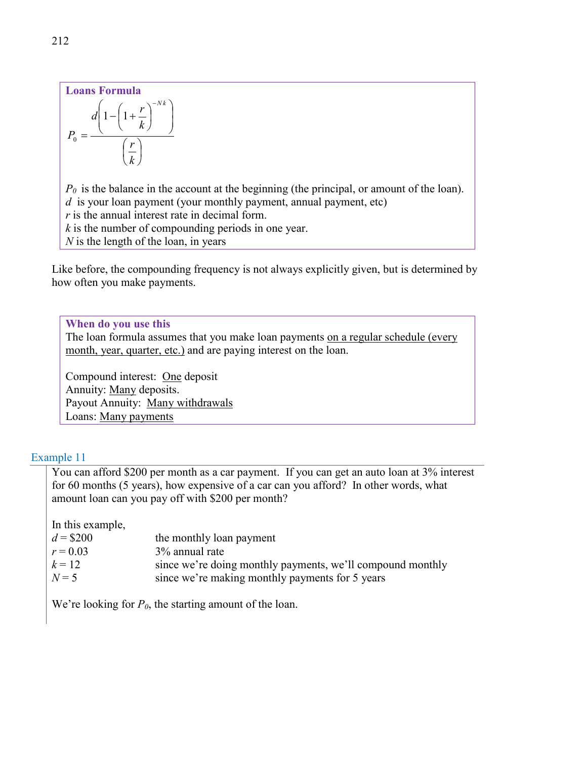#### **Loans Formula**  $\overline{\phantom{a}}$ J  $\left(\frac{r}{t}\right)$  $\setminus$ ſ  $\overline{\phantom{a}}$  $\overline{\phantom{a}}$ J  $\backslash$ I  $\mathsf{I}$  $\setminus$  $\left(1-\left(1+\frac{r}{l}\right)\right)$ J  $\left(1+\frac{r}{r}\right)$  $\setminus$  $-\left(1+\frac{r}{r}\right)^{-}$  $P_{0} =$ *k r k*  $d\left(1-\left(1+\frac{r}{l}\right)^{-Nk}\right)$  $1 - 1$

 $P_0$  is the balance in the account at the beginning (the principal, or amount of the loan). *d* is your loan payment (your monthly payment, annual payment, etc)

*r* is the annual interest rate in decimal form.

*k* is the number of compounding periods in one year.

*N* is the length of the loan, in years

Like before, the compounding frequency is not always explicitly given, but is determined by how often you make payments.

**When do you use this**

The loan formula assumes that you make loan payments on a regular schedule (every month, year, quarter, etc.) and are paying interest on the loan.

Compound interest: One deposit Annuity: Many deposits. Payout Annuity: Many withdrawals Loans: Many payments

## Example 11

You can afford \$200 per month as a car payment. If you can get an auto loan at 3% interest for 60 months (5 years), how expensive of a car can you afford? In other words, what amount loan can you pay off with \$200 per month?

In this example,

| $d = $200$ | the monthly loan payment                                   |
|------------|------------------------------------------------------------|
| $r = 0.03$ | 3% annual rate                                             |
| $k = 12$   | since we're doing monthly payments, we'll compound monthly |
| $N=5$      | since we're making monthly payments for 5 years            |

We're looking for  $P_0$ , the starting amount of the loan.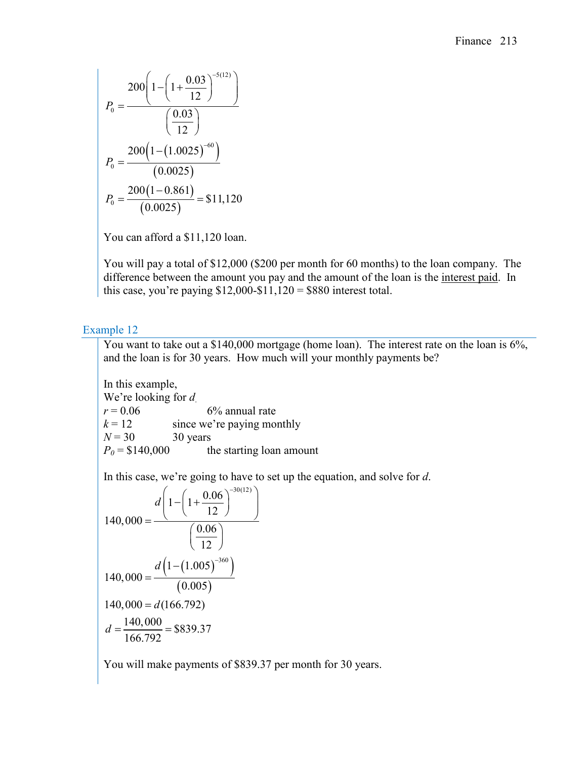$$
P_0 = \frac{200\left(1 - \left(1 + \frac{0.03}{12}\right)^{-5(12)}\right)}{\left(\frac{0.03}{12}\right)}
$$

$$
P_0 = \frac{200\left(1 - (1.0025)^{-60}\right)}{(0.0025)}
$$

$$
P_0 = \frac{200\left(1 - 0.861\right)}{(0.0025)} = $11,120
$$

You can afford a \$11,120 loan.

You will pay a total of \$12,000 (\$200 per month for 60 months) to the loan company. The difference between the amount you pay and the amount of the loan is the interest paid. In this case, you're paying  $$12,000-\$11,120 = $880$  interest total.

# Example 12

You want to take out a \$140,000 mortgage (home loan). The interest rate on the loan is 6%, and the loan is for 30 years. How much will your monthly payments be?

In this example, We're looking for *d*.  $r = 0.06$  6% annual rate  $k = 12$  since we're paying monthly  $N = 30$  30 years  $P_0 = $140,000$  the starting loan amount

In this case, we're going to have to set up the equation, and solve for *d*.

$$
140,000 = \frac{d\left(1 - \left(1 + \frac{0.06}{12}\right)^{-30(12)}\right)}{\left(\frac{0.06}{12}\right)}
$$
  

$$
140,000 = \frac{d\left(1 - (1.005)^{-360}\right)}{(0.005)}
$$
  

$$
140,000 = d(166.792)
$$
  

$$
d = \frac{140,000}{166.792} = $839.37
$$

You will make payments of \$839.37 per month for 30 years.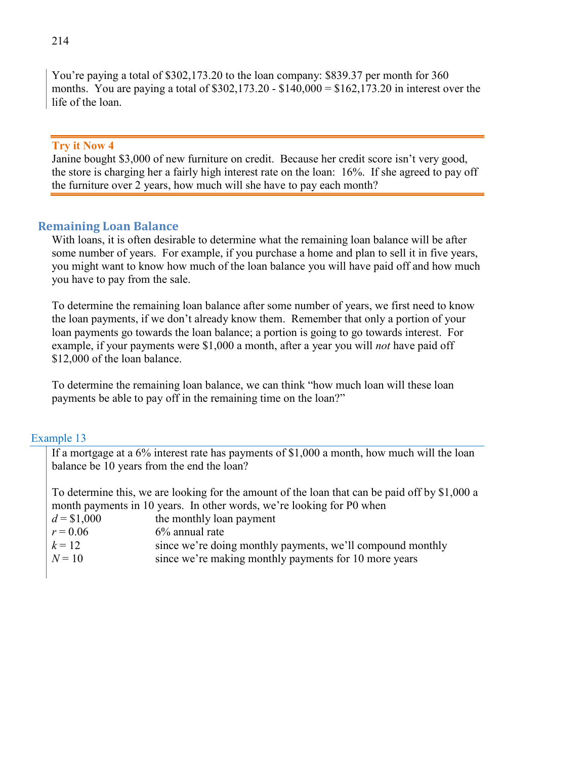You're paying a total of \$302,173.20 to the loan company: \$839.37 per month for 360 months. You are paying a total of  $$302,173.20 - $140,000 = $162,173.20$  in interest over the life of the loan.

#### **Try it Now 4**

Janine bought \$3,000 of new furniture on credit. Because her credit score isn't very good, the store is charging her a fairly high interest rate on the loan: 16%. If she agreed to pay off the furniture over 2 years, how much will she have to pay each month?

## **Remaining Loan Balance**

With loans, it is often desirable to determine what the remaining loan balance will be after some number of years. For example, if you purchase a home and plan to sell it in five years, you might want to know how much of the loan balance you will have paid off and how much you have to pay from the sale.

To determine the remaining loan balance after some number of years, we first need to know the loan payments, if we don't already know them. Remember that only a portion of your loan payments go towards the loan balance; a portion is going to go towards interest. For example, if your payments were \$1,000 a month, after a year you will *not* have paid off \$12,000 of the loan balance.

To determine the remaining loan balance, we can think "how much loan will these loan payments be able to pay off in the remaining time on the loan?"

### Example 13

If a mortgage at a 6% interest rate has payments of \$1,000 a month, how much will the loan balance be 10 years from the end the loan?

To determine this, we are looking for the amount of the loan that can be paid off by \$1,000 a month payments in 10 years. In other words, we're looking for P0 when

| $d = $1,000$<br>the monthly loan payment |
|------------------------------------------|
|------------------------------------------|

 $r = 0.06$  6% annual rate

| $k = 12$ | since we're doing monthly payments, we'll compound monthly |  |  |  |
|----------|------------------------------------------------------------|--|--|--|
|----------|------------------------------------------------------------|--|--|--|

| $N = 10$ | since we're making monthly payments for 10 more years |  |  |
|----------|-------------------------------------------------------|--|--|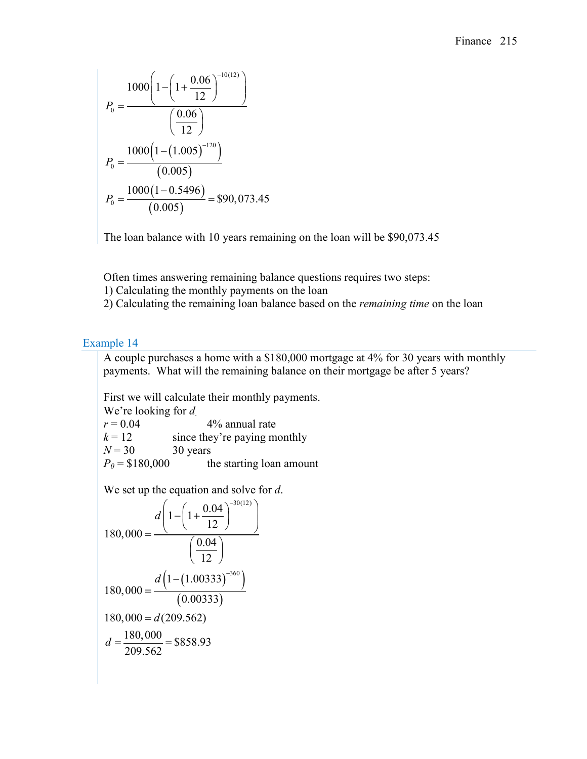$$
P_0 = \frac{1000\left(1 - \left(1 + \frac{0.06}{12}\right)^{-10(12)}\right)}{\left(\frac{0.06}{12}\right)}
$$

$$
P_0 = \frac{1000\left(1 - (1.005)^{-120}\right)}{(0.005)}
$$

$$
P_0 = \frac{1000\left(1 - 0.5496\right)}{(0.005)} = $90,073.45
$$

The loan balance with 10 years remaining on the loan will be \$90,073.45

Often times answering remaining balance questions requires two steps:

1) Calculating the monthly payments on the loan

2) Calculating the remaining loan balance based on the *remaining time* on the loan

## Example 14

A couple purchases a home with a \$180,000 mortgage at 4% for 30 years with monthly payments. What will the remaining balance on their mortgage be after 5 years?

First we will calculate their monthly payments.

We're looking for *d*.<br> $r = 0.04$ 4% annual rate  $k = 12$  since they're paying monthly  $N = 30$  30 years  $P_0 = $180,000$  the starting loan amount

We set up the equation and solve for *d*.

$$
180,000 = \frac{d\left(1 - \left(1 + \frac{0.04}{12}\right)^{-30(12)}\right)}{\left(\frac{0.04}{12}\right)}
$$

$$
180,000 = \frac{d\left(1 - (1.00333)^{-360}\right)}{(0.00333)}
$$

$$
180,000 = d(209.562)
$$

$$
d = \frac{180,000}{209.562} = $858.93
$$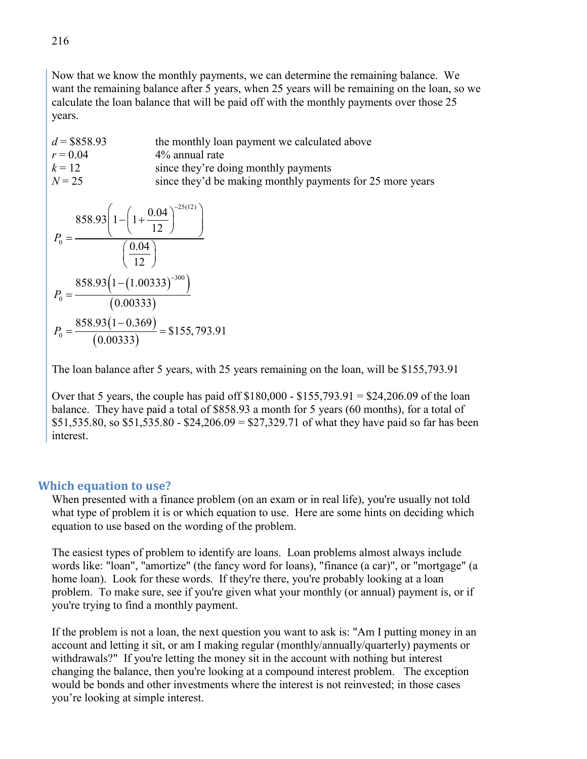Now that we know the monthly payments, we can determine the remaining balance. We want the remaining balance after 5 years, when 25 years will be remaining on the loan, so we calculate the loan balance that will be paid off with the monthly payments over those 25 years.

d = \$858.93 the monthly loan payment we calculated above  
\n
$$
r = 0.04
$$
 4% annual rate  
\nk = 12 since they're doing monthly payments  
\n $N = 25$  since they'd be making monthly payments for 25 more years  
\n
$$
858.93 \left( 1 - \left( 1 + \frac{0.04}{12} \right)^{-25(12)} \right)
$$
\n
$$
P_0 = \frac{858.93 \left( 1 - (1.00333)^{-300} \right)}{(0.00333)}
$$
\n
$$
P_0 = \frac{858.93 (1 - 0.369)}{(0.00333)} = $155,793.91
$$

The loan balance after 5 years, with 25 years remaining on the loan, will be \$155,793.91

Over that 5 years, the couple has paid off  $$180,000 - $155,793.91 = $24,206.09$  of the loan balance. They have paid a total of \$858.93 a month for 5 years (60 months), for a total of \$51,535.80, so \$51,535.80 - \$24,206.09 = \$27,329.71 of what they have paid so far has been interest.

### **Which equation to use?**

When presented with a finance problem (on an exam or in real life), you're usually not told what type of problem it is or which equation to use. Here are some hints on deciding which equation to use based on the wording of the problem.

The easiest types of problem to identify are loans. Loan problems almost always include words like: "loan", "amortize" (the fancy word for loans), "finance (a car)", or "mortgage" (a home loan). Look for these words. If they're there, you're probably looking at a loan problem. To make sure, see if you're given what your monthly (or annual) payment is, or if you're trying to find a monthly payment.

If the problem is not a loan, the next question you want to ask is: "Am I putting money in an account and letting it sit, or am I making regular (monthly/annually/quarterly) payments or withdrawals?" If you're letting the money sit in the account with nothing but interest changing the balance, then you're looking at a compound interest problem. The exception would be bonds and other investments where the interest is not reinvested; in those cases you're looking at simple interest.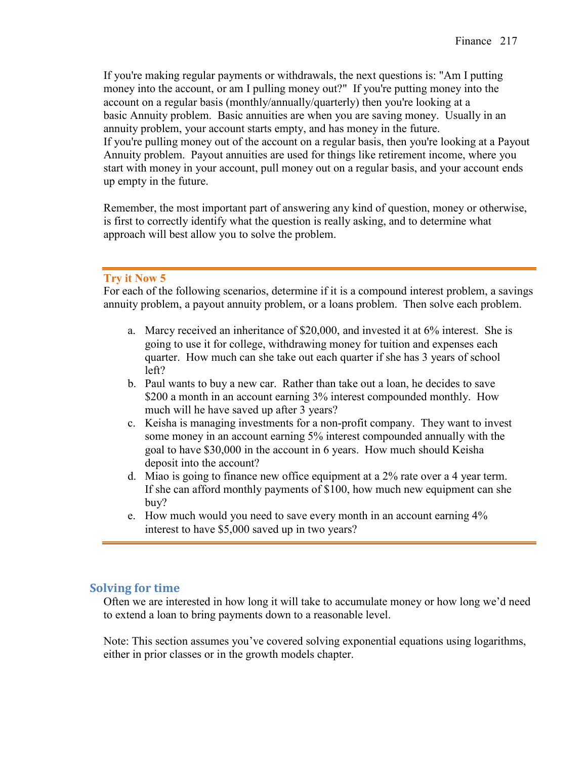If you're making regular payments or withdrawals, the next questions is: "Am I putting money into the account, or am I pulling money out?" If you're putting money into the account on a regular basis (monthly/annually/quarterly) then you're looking at a basic Annuity problem. Basic annuities are when you are saving money. Usually in an annuity problem, your account starts empty, and has money in the future. If you're pulling money out of the account on a regular basis, then you're looking at a Payout Annuity problem. Payout annuities are used for things like retirement income, where you start with money in your account, pull money out on a regular basis, and your account ends up empty in the future.

Remember, the most important part of answering any kind of question, money or otherwise, is first to correctly identify what the question is really asking, and to determine what approach will best allow you to solve the problem.

## **Try it Now 5**

For each of the following scenarios, determine if it is a compound interest problem, a savings annuity problem, a payout annuity problem, or a loans problem. Then solve each problem.

- a. Marcy received an inheritance of \$20,000, and invested it at 6% interest. She is going to use it for college, withdrawing money for tuition and expenses each quarter. How much can she take out each quarter if she has 3 years of school left?
- b. Paul wants to buy a new car. Rather than take out a loan, he decides to save \$200 a month in an account earning 3% interest compounded monthly. How much will he have saved up after 3 years?
- c. Keisha is managing investments for a non-profit company. They want to invest some money in an account earning 5% interest compounded annually with the goal to have \$30,000 in the account in 6 years. How much should Keisha deposit into the account?
- d. Miao is going to finance new office equipment at a 2% rate over a 4 year term. If she can afford monthly payments of \$100, how much new equipment can she buy?
- e. How much would you need to save every month in an account earning 4% interest to have \$5,000 saved up in two years?

## **Solving for time**

Often we are interested in how long it will take to accumulate money or how long we'd need to extend a loan to bring payments down to a reasonable level.

Note: This section assumes you've covered solving exponential equations using logarithms, either in prior classes or in the growth models chapter.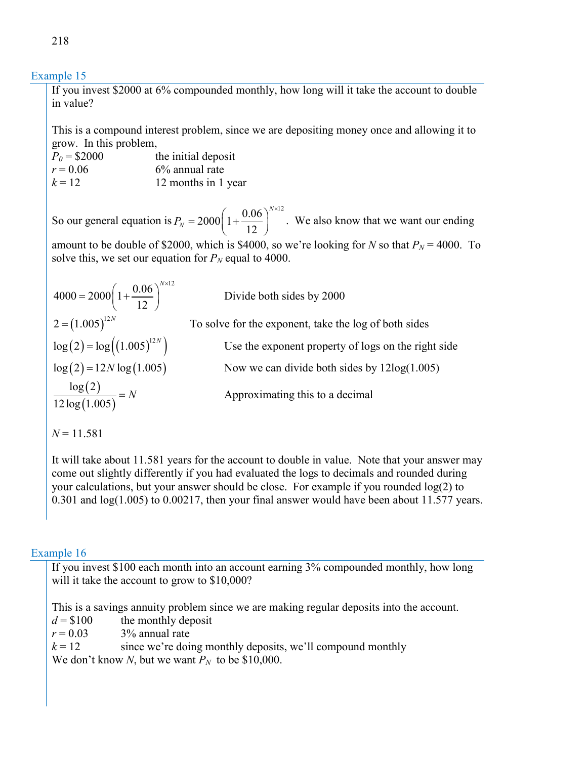## Example 15

If you invest \$2000 at 6% compounded monthly, how long will it take the account to double in value?

This is a compound interest problem, since we are depositing money once and allowing it to grow. In this problem,

| $P_0 = $2000$ | the initial deposit |
|---------------|---------------------|
| $r = 0.06$    | $6\%$ annual rate   |
| $k = 12$      | 12 months in 1 year |

So our general equation is  $P_N = 2000 \left(1 + \frac{0.06}{12}\right)^{N \times 12}$ 12 *N*  $P_{N}$  $= 2000 \left( 1 + \frac{0.06}{12} \right)^{N \times 12}$ . We also know that we want our ending amount to be double of \$2000, which is \$4000, so we're looking for *N* so that  $P_N = 4000$ . To

solve this, we set our equation for  $P_N$  equal to 4000.

$$
4000 = 2000 \left( 1 + \frac{0.06}{12} \right)^{N \times 12}
$$
  
\n
$$
2 = (1.005)^{12N}
$$
  
\n
$$
\log(2) = \log((1.005)^{12N})
$$
  
\n
$$
\log(2) = 12N \log(1.005)
$$
  
\n
$$
\frac{\log(2)}{12 \log(1.005)} = N
$$

Divide both sides by 2000

To solve for the exponent, take the log of both sides

Use the exponent property of logs on the right side

Now we can divide both sides by  $12\log(1.005)$ 

Approximating this to a decimal

 $N = 11.581$ 

It will take about 11.581 years for the account to double in value. Note that your answer may come out slightly differently if you had evaluated the logs to decimals and rounded during your calculations, but your answer should be close. For example if you rounded log(2) to 0.301 and log(1.005) to 0.00217, then your final answer would have been about 11.577 years.

## Example 16

If you invest \$100 each month into an account earning 3% compounded monthly, how long will it take the account to grow to \$10,000?

This is a savings annuity problem since we are making regular deposits into the account.

 $d = $100$  the monthly deposit

 $r = 0.03$  3% annual rate

 $k = 12$  since we're doing monthly deposits, we'll compound monthly

We don't know *N*, but we want  $P_N$  to be \$10,000.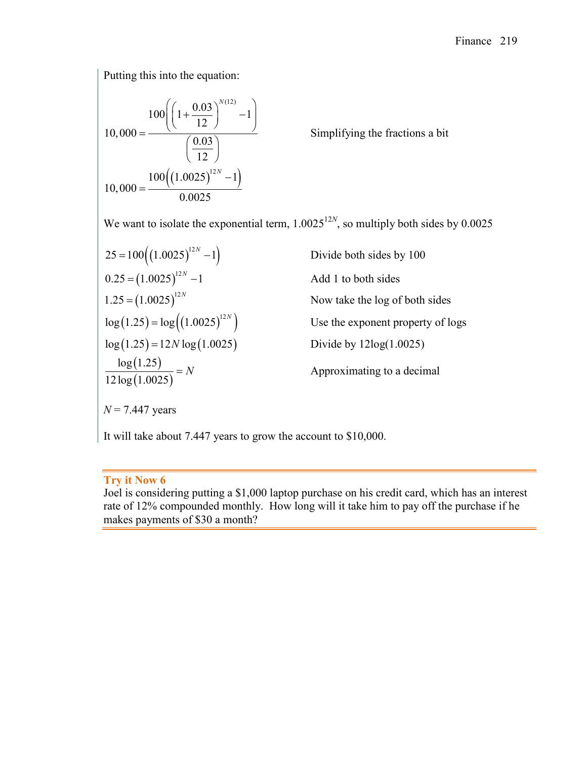Putting this into the equation:

$$
10,000 = \frac{100\left(\left(1 + \frac{0.03}{12}\right)^{N(12)} - 1\right)}{\left(\frac{0.03}{12}\right)}
$$

$$
10,000 = \frac{100\left(\left(1.0025\right)^{12N} - 1\right)}{0.0025}
$$

Simplifying the fractions a bit

We want to isolate the exponential term,  $1.0025^{12N}$ , so multiply both sides by 0.0025

$$
25 = 100((1.0025)^{12N} - 1)
$$
  
Divide both sides by 100  
0.25 = (1.0025)<sup>12N</sup> - 1  
1.25 = (1.0025)<sup>12N</sup>  
log(1.25) = log((1.0025)^{12N})  
log(1.25) = 12N log(1.0025)  
log(1.25)  

$$
\frac{log(1.25)}{12 log(1.0025)} = N
$$
Divide by 12log(1.0025)  
Approximating to a decimal  
N = 7.447 years

It will take about 7.447 years to grow the account to \$10,000.

# **Try it Now 6**

Joel is considering putting a \$1,000 laptop purchase on his credit card, which has an interest rate of 12% compounded monthly. How long will it take him to pay off the purchase if he makes payments of \$30 a month?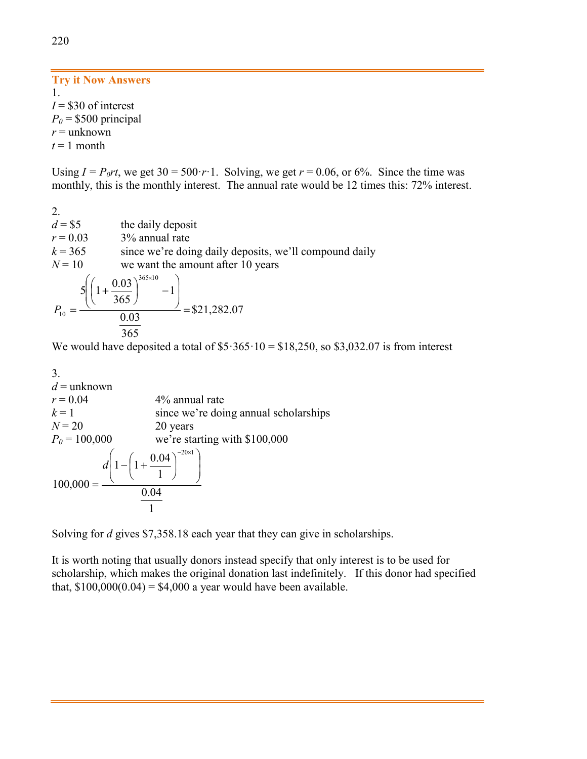## **Try it Now Answers** 1.  $I = $30$  of interest  $P_0$  = \$500 principal

*r* = unknown

 $t = 1$  month

Using  $I = P_0rt$ , we get  $30 = 500 \cdot r \cdot 1$ . Solving, we get  $r = 0.06$ , or 6%. Since the time was monthly, this is the monthly interest. The annual rate would be 12 times this: 72% interest.

2.  $d = $5$  the daily deposit  $r = 0.03$  3% annual rate  $k = 365$  since we're doing daily deposits, we'll compound daily  $N = 10$  we want the amount after 10 years =  $\overline{\phantom{a}}$  $\overline{\phantom{a}}$ J  $\setminus$  $\mathsf{I}$  $\mathsf{I}$  $\left(\left(1+\frac{0.03}{365}\right)^{365\times10}-\right)$  $\setminus$  $\left(1+\frac{0.03}{2.55}\right)^{365\times}$ = 365 0.03 1 365  $5\left(1+\frac{0.03}{2.55}\right)^{365\times10}$  $P_{10} = \frac{(1.001)(1.001)}{0.03} = $21,282.07$ 

We would have deposited a total of  $$5·365·10 = $18,250$ , so \$3,032.07 is from interest

3.  $d =$ unknown  $r = 0.04$  4% annual rate  $k = 1$  since we're doing annual scholarships  $N = 20$  20 years  $P_0 = 100,000$  we're starting with \$100,000 1 0.04 1  $1 - \left(1 + \frac{0.04}{1}\right)$ 100,000  $20 \times 1$  $\overline{\phantom{a}}$  $\overline{\phantom{a}}$ J  $\backslash$  $\mathsf{I}$  $\mathsf{I}$  $\setminus$  $\left(1-\left(1+\frac{0.04}{1}\right)\right)$ J  $\left(1+\frac{0.04}{1}\right)$  $\setminus$  $- \bigg( 1 +$ =  $-20\times$ *d*

Solving for *d* gives \$7,358.18 each year that they can give in scholarships.

It is worth noting that usually donors instead specify that only interest is to be used for scholarship, which makes the original donation last indefinitely. If this donor had specified that,  $$100,000(0.04) = $4,000$  a year would have been available.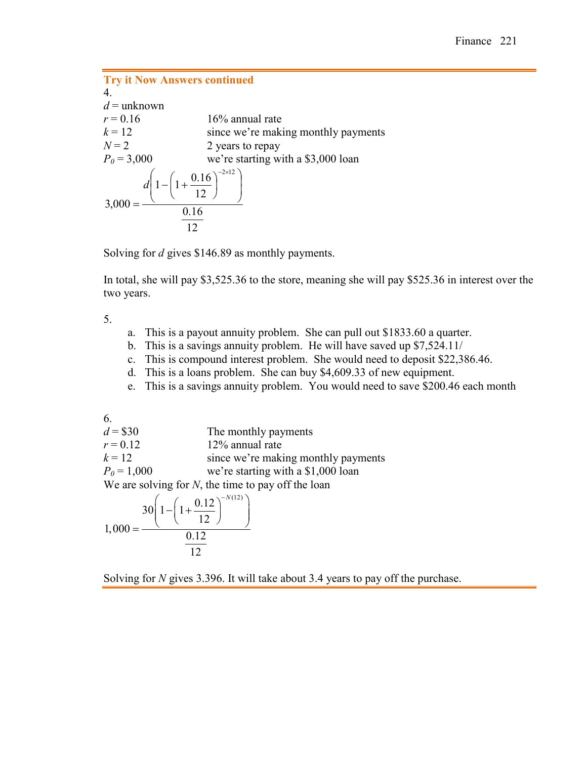| <b>Try it Now Answers continued</b>                                                                 |                                     |
|-----------------------------------------------------------------------------------------------------|-------------------------------------|
| $\overline{4}$                                                                                      |                                     |
| $d =$ unknown                                                                                       |                                     |
| $r = 0.16$                                                                                          | $16\%$ annual rate                  |
| $k = 12$                                                                                            | since we're making monthly payments |
| $N=2$                                                                                               | 2 years to repay                    |
| $P_0 = 3,000$                                                                                       | we're starting with a \$3,000 loan  |
| $3,000 = \frac{d\left(1 - \left(1 + \frac{0.16}{12}\right)^{-2 \times 12}\right)}{4}$<br>0.16<br>12 |                                     |

Solving for *d* gives \$146.89 as monthly payments.

In total, she will pay \$3,525.36 to the store, meaning she will pay \$525.36 in interest over the two years.

5.

- a. This is a payout annuity problem. She can pull out \$1833.60 a quarter.
- b. This is a savings annuity problem. He will have saved up \$7,524.11/
- c. This is compound interest problem. She would need to deposit \$22,386.46.
- d. This is a loans problem. She can buy \$4,609.33 of new equipment.
- e. This is a savings annuity problem. You would need to save \$200.46 each month

6.

 $d = $30$  The monthly payments  $r = 0.12$  12% annual rate  $k = 12$  since we're making monthly payments  $P_0 = 1,000$  we're starting with a \$1,000 loan We are solving for *N*, the time to pay off the loan

$$
1,000 = \frac{30\left(1 - \left(1 + \frac{0.12}{12}\right)^{-N(12)}\right)}{\frac{0.12}{12}}
$$

Solving for *N* gives 3.396. It will take about 3.4 years to pay off the purchase.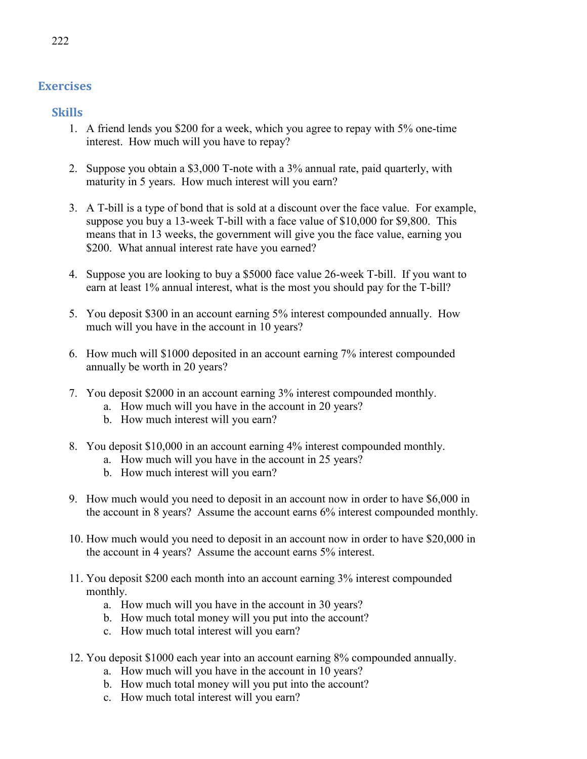# **Exercises**

**Skills**

- 1. A friend lends you \$200 for a week, which you agree to repay with 5% one-time interest. How much will you have to repay?
- 2. Suppose you obtain a \$3,000 T-note with a 3% annual rate, paid quarterly, with maturity in 5 years. How much interest will you earn?
- 3. A T-bill is a type of bond that is sold at a discount over the face value. For example, suppose you buy a 13-week T-bill with a face value of \$10,000 for \$9,800. This means that in 13 weeks, the government will give you the face value, earning you \$200. What annual interest rate have you earned?
- 4. Suppose you are looking to buy a \$5000 face value 26-week T-bill. If you want to earn at least 1% annual interest, what is the most you should pay for the T-bill?
- 5. You deposit \$300 in an account earning 5% interest compounded annually. How much will you have in the account in 10 years?
- 6. How much will \$1000 deposited in an account earning 7% interest compounded annually be worth in 20 years?
- 7. You deposit \$2000 in an account earning 3% interest compounded monthly.
	- a. How much will you have in the account in 20 years?
	- b. How much interest will you earn?
- 8. You deposit \$10,000 in an account earning 4% interest compounded monthly.
	- a. How much will you have in the account in 25 years?
	- b. How much interest will you earn?
- 9. How much would you need to deposit in an account now in order to have \$6,000 in the account in 8 years? Assume the account earns 6% interest compounded monthly.
- 10. How much would you need to deposit in an account now in order to have \$20,000 in the account in 4 years? Assume the account earns 5% interest.
- 11. You deposit \$200 each month into an account earning 3% interest compounded monthly.
	- a. How much will you have in the account in 30 years?
	- b. How much total money will you put into the account?
	- c. How much total interest will you earn?
- 12. You deposit \$1000 each year into an account earning 8% compounded annually.
	- a. How much will you have in the account in 10 years?
	- b. How much total money will you put into the account?
	- c. How much total interest will you earn?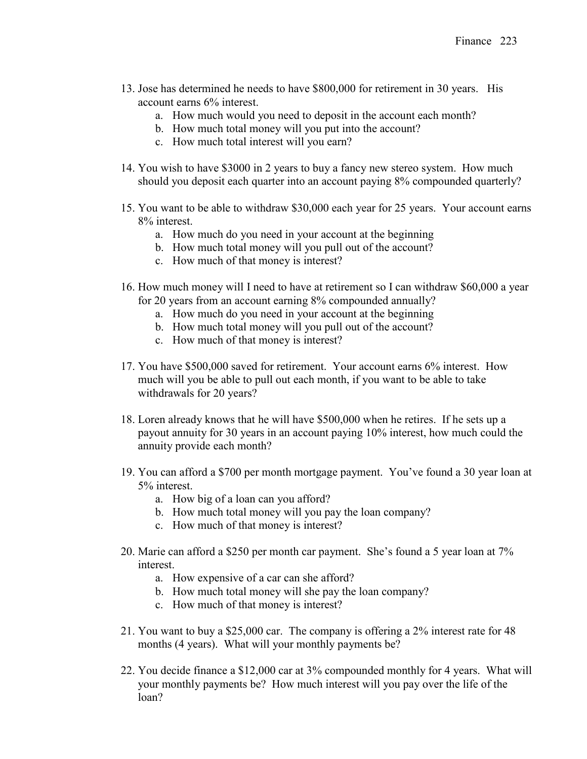- 13. Jose has determined he needs to have \$800,000 for retirement in 30 years. His account earns 6% interest.
	- a. How much would you need to deposit in the account each month?
	- b. How much total money will you put into the account?
	- c. How much total interest will you earn?
- 14. You wish to have \$3000 in 2 years to buy a fancy new stereo system. How much should you deposit each quarter into an account paying 8% compounded quarterly?
- 15. You want to be able to withdraw \$30,000 each year for 25 years. Your account earns 8% interest.
	- a. How much do you need in your account at the beginning
	- b. How much total money will you pull out of the account?
	- c. How much of that money is interest?
- 16. How much money will I need to have at retirement so I can withdraw \$60,000 a year for 20 years from an account earning 8% compounded annually?
	- a. How much do you need in your account at the beginning
	- b. How much total money will you pull out of the account?
	- c. How much of that money is interest?
- 17. You have \$500,000 saved for retirement. Your account earns 6% interest. How much will you be able to pull out each month, if you want to be able to take withdrawals for 20 years?
- 18. Loren already knows that he will have \$500,000 when he retires. If he sets up a payout annuity for 30 years in an account paying 10% interest, how much could the annuity provide each month?
- 19. You can afford a \$700 per month mortgage payment. You've found a 30 year loan at 5% interest.
	- a. How big of a loan can you afford?
	- b. How much total money will you pay the loan company?
	- c. How much of that money is interest?
- 20. Marie can afford a \$250 per month car payment. She's found a 5 year loan at 7% interest.
	- a. How expensive of a car can she afford?
	- b. How much total money will she pay the loan company?
	- c. How much of that money is interest?
- 21. You want to buy a \$25,000 car. The company is offering a 2% interest rate for 48 months (4 years). What will your monthly payments be?
- 22. You decide finance a \$12,000 car at 3% compounded monthly for 4 years. What will your monthly payments be? How much interest will you pay over the life of the loan?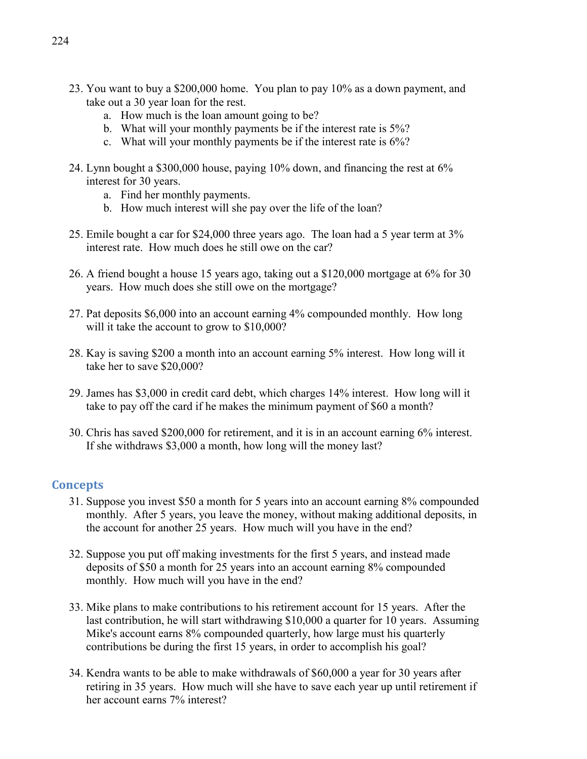- 23. You want to buy a \$200,000 home. You plan to pay 10% as a down payment, and take out a 30 year loan for the rest.
	- a. How much is the loan amount going to be?
	- b. What will your monthly payments be if the interest rate is 5%?
	- c. What will your monthly payments be if the interest rate is 6%?
- 24. Lynn bought a \$300,000 house, paying 10% down, and financing the rest at 6% interest for 30 years.
	- a. Find her monthly payments.
	- b. How much interest will she pay over the life of the loan?
- 25. Emile bought a car for \$24,000 three years ago. The loan had a 5 year term at 3% interest rate. How much does he still owe on the car?
- 26. A friend bought a house 15 years ago, taking out a \$120,000 mortgage at 6% for 30 years. How much does she still owe on the mortgage?
- 27. Pat deposits \$6,000 into an account earning 4% compounded monthly. How long will it take the account to grow to \$10,000?
- 28. Kay is saving \$200 a month into an account earning 5% interest. How long will it take her to save \$20,000?
- 29. James has \$3,000 in credit card debt, which charges 14% interest. How long will it take to pay off the card if he makes the minimum payment of \$60 a month?
- 30. Chris has saved \$200,000 for retirement, and it is in an account earning 6% interest. If she withdraws \$3,000 a month, how long will the money last?

## **Concepts**

- 31. Suppose you invest \$50 a month for 5 years into an account earning 8% compounded monthly. After 5 years, you leave the money, without making additional deposits, in the account for another 25 years. How much will you have in the end?
- 32. Suppose you put off making investments for the first 5 years, and instead made deposits of \$50 a month for 25 years into an account earning 8% compounded monthly. How much will you have in the end?
- 33. Mike plans to make contributions to his retirement account for 15 years. After the last contribution, he will start withdrawing \$10,000 a quarter for 10 years. Assuming Mike's account earns 8% compounded quarterly, how large must his quarterly contributions be during the first 15 years, in order to accomplish his goal?
- 34. Kendra wants to be able to make withdrawals of \$60,000 a year for 30 years after retiring in 35 years. How much will she have to save each year up until retirement if her account earns 7% interest?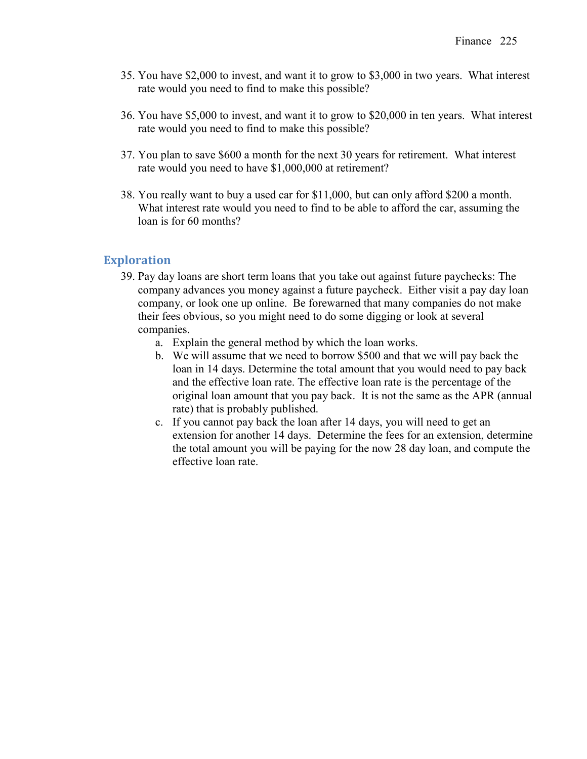- 35. You have \$2,000 to invest, and want it to grow to \$3,000 in two years. What interest rate would you need to find to make this possible?
- 36. You have \$5,000 to invest, and want it to grow to \$20,000 in ten years. What interest rate would you need to find to make this possible?
- 37. You plan to save \$600 a month for the next 30 years for retirement. What interest rate would you need to have \$1,000,000 at retirement?
- 38. You really want to buy a used car for \$11,000, but can only afford \$200 a month. What interest rate would you need to find to be able to afford the car, assuming the loan is for 60 months?

## **Exploration**

- 39. Pay day loans are short term loans that you take out against future paychecks: The company advances you money against a future paycheck. Either visit a pay day loan company, or look one up online. Be forewarned that many companies do not make their fees obvious, so you might need to do some digging or look at several companies.
	- a. Explain the general method by which the loan works.
	- b. We will assume that we need to borrow \$500 and that we will pay back the loan in 14 days. Determine the total amount that you would need to pay back and the effective loan rate. The effective loan rate is the percentage of the original loan amount that you pay back. It is not the same as the APR (annual rate) that is probably published.
	- c. If you cannot pay back the loan after 14 days, you will need to get an extension for another 14 days. Determine the fees for an extension, determine the total amount you will be paying for the now 28 day loan, and compute the effective loan rate.